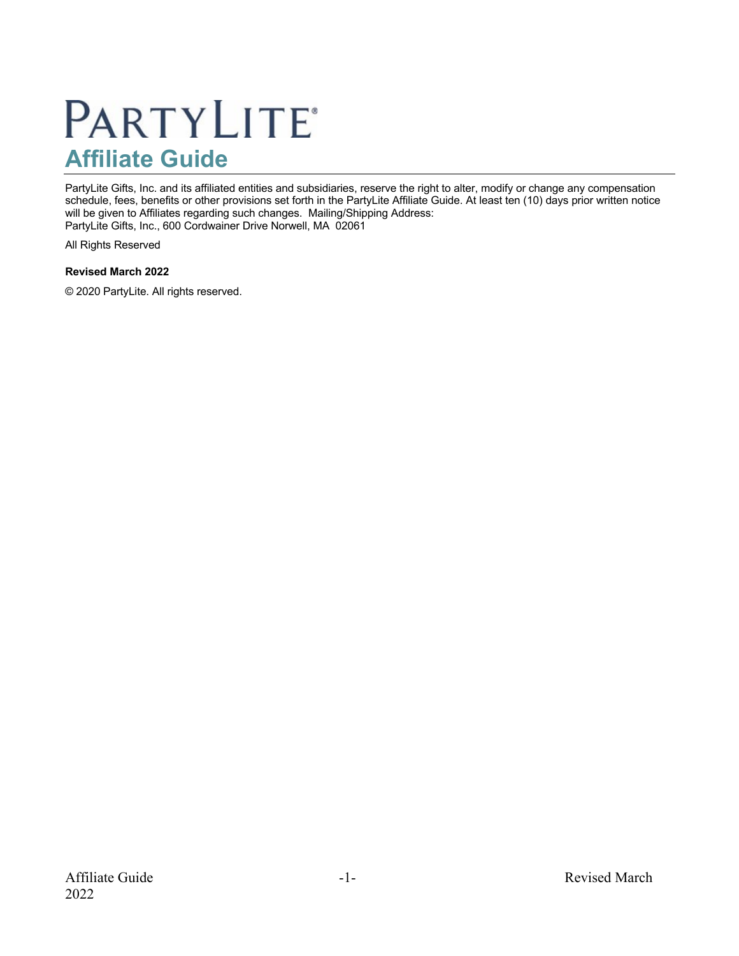# **PARTYLITE® Affiliate Guide**

PartyLite Gifts, Inc. and its affiliated entities and subsidiaries, reserve the right to alter, modify or change any compensation schedule, fees, benefits or other provisions set forth in the PartyLite Affiliate Guide. At least ten (10) days prior written notice will be given to Affiliates regarding such changes. Mailing/Shipping Address: PartyLite Gifts, Inc., 600 Cordwainer Drive Norwell, MA 02061

All Rights Reserved

#### **Revised March 2022**

© 2020 PartyLite. All rights reserved.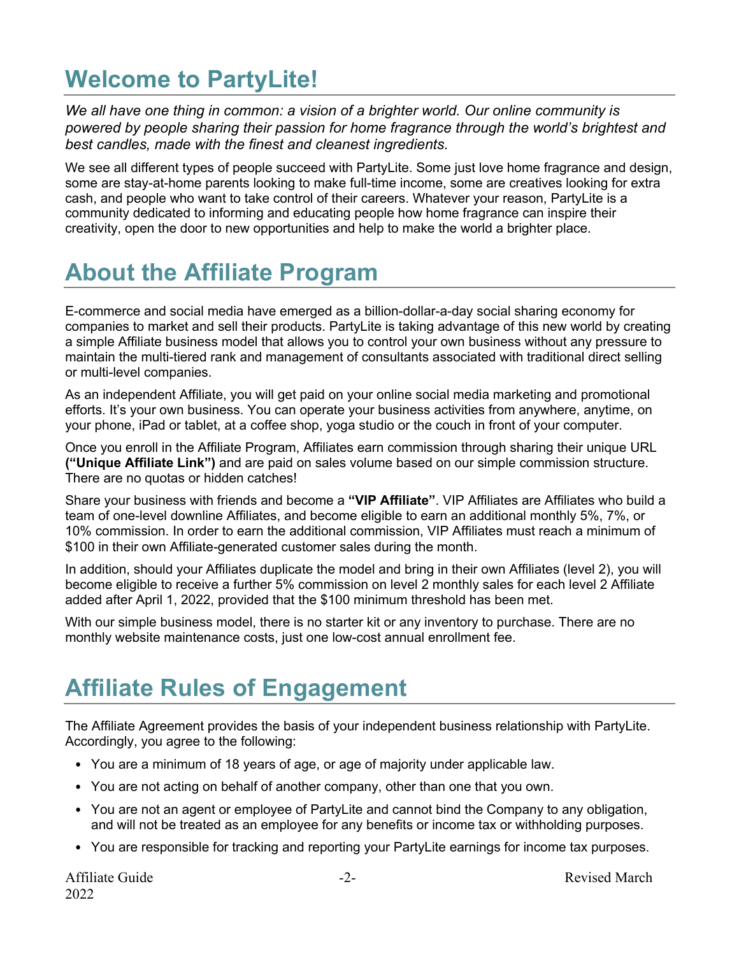### **Welcome to PartyLite!**

*We all have one thing in common: a vision of a brighter world. Our online community is powered by people sharing their passion for home fragrance through the world's brightest and best candles, made with the finest and cleanest ingredients.*

We see all different types of people succeed with PartyLite. Some just love home fragrance and design, some are stay-at-home parents looking to make full-time income, some are creatives looking for extra cash, and people who want to take control of their careers. Whatever your reason, PartyLite is a community dedicated to informing and educating people how home fragrance can inspire their creativity, open the door to new opportunities and help to make the world a brighter place.

### **About the Affiliate Program**

E-commerce and social media have emerged as a billion-dollar-a-day social sharing economy for companies to market and sell their products. PartyLite is taking advantage of this new world by creating a simple Affiliate business model that allows you to control your own business without any pressure to maintain the multi-tiered rank and management of consultants associated with traditional direct selling or multi-level companies.

As an independent Affiliate, you will get paid on your online social media marketing and promotional efforts. It's your own business. You can operate your business activities from anywhere, anytime, on your phone, iPad or tablet, at a coffee shop, yoga studio or the couch in front of your computer.

Once you enroll in the Affiliate Program, Affiliates earn commission through sharing their unique URL **("Unique Affiliate Link")** and are paid on sales volume based on our simple commission structure. There are no quotas or hidden catches!

Share your business with friends and become a **"VIP Affiliate"**. VIP Affiliates are Affiliates who build a team of one-level downline Affiliates, and become eligible to earn an additional monthly 5%, 7%, or 10% commission. In order to earn the additional commission, VIP Affiliates must reach a minimum of \$100 in their own Affiliate-generated customer sales during the month.

In addition, should your Affiliates duplicate the model and bring in their own Affiliates (level 2), you will become eligible to receive a further 5% commission on level 2 monthly sales for each level 2 Affiliate added after April 1, 2022, provided that the \$100 minimum threshold has been met.

With our simple business model, there is no starter kit or any inventory to purchase. There are no monthly website maintenance costs, just one low-cost annual enrollment fee.

### **Affiliate Rules of Engagement**

The Affiliate Agreement provides the basis of your independent business relationship with PartyLite. Accordingly, you agree to the following:

- You are a minimum of 18 years of age, or age of majority under applicable law.
- You are not acting on behalf of another company, other than one that you own.
- You are not an agent or employee of PartyLite and cannot bind the Company to any obligation, and will not be treated as an employee for any benefits or income tax or withholding purposes.
- You are responsible for tracking and reporting your PartyLite earnings for income tax purposes.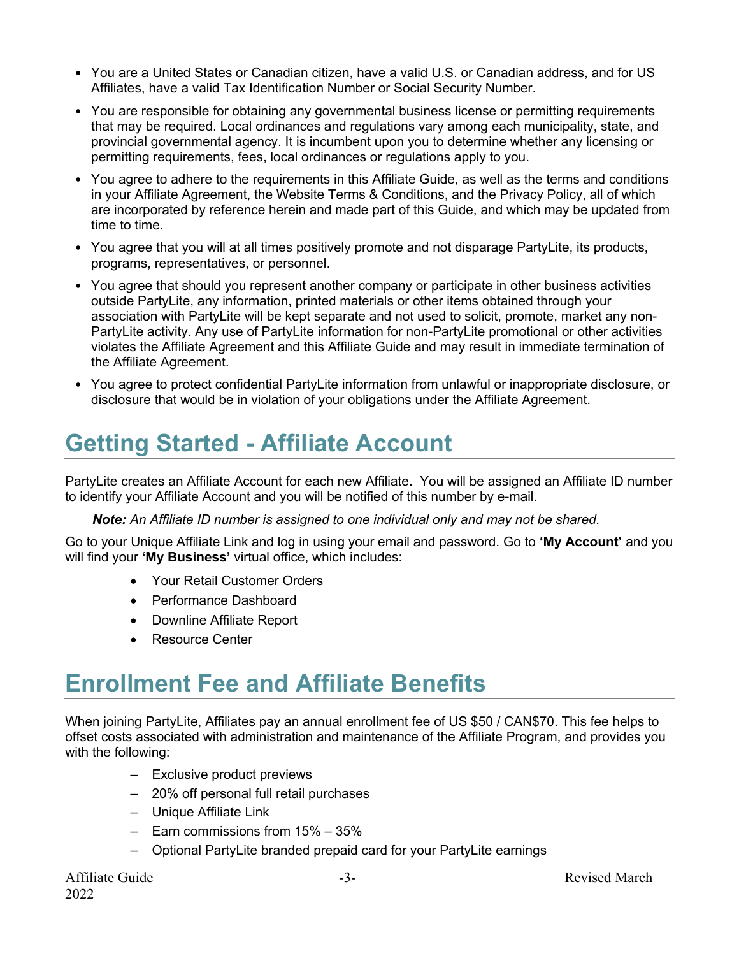- You are a United States or Canadian citizen, have a valid U.S. or Canadian address, and for US Affiliates, have a valid Tax Identification Number or Social Security Number.
- You are responsible for obtaining any governmental business license or permitting requirements that may be required. Local ordinances and regulations vary among each municipality, state, and provincial governmental agency. It is incumbent upon you to determine whether any licensing or permitting requirements, fees, local ordinances or regulations apply to you.
- You agree to adhere to the requirements in this Affiliate Guide, as well as the terms and conditions in your Affiliate Agreement, the Website Terms & Conditions, and the Privacy Policy, all of which are incorporated by reference herein and made part of this Guide, and which may be updated from time to time.
- You agree that you will at all times positively promote and not disparage PartyLite, its products, programs, representatives, or personnel.
- You agree that should you represent another company or participate in other business activities outside PartyLite, any information, printed materials or other items obtained through your association with PartyLite will be kept separate and not used to solicit, promote, market any non-PartyLite activity. Any use of PartyLite information for non-PartyLite promotional or other activities violates the Affiliate Agreement and this Affiliate Guide and may result in immediate termination of the Affiliate Agreement.
- You agree to protect confidential PartyLite information from unlawful or inappropriate disclosure, or disclosure that would be in violation of your obligations under the Affiliate Agreement.

## **Getting Started - Affiliate Account**

PartyLite creates an Affiliate Account for each new Affiliate. You will be assigned an Affiliate ID number to identify your Affiliate Account and you will be notified of this number by e-mail.

*Note: An Affiliate ID number is assigned to one individual only and may not be shared.*

Go to your Unique Affiliate Link and log in using your email and password. Go to **'My Account'** and you will find your **'My Business'** virtual office, which includes:

- Your Retail Customer Orders
- Performance Dashboard
- Downline Affiliate Report
- Resource Center

### **Enrollment Fee and Affiliate Benefits**

When joining PartyLite, Affiliates pay an annual enrollment fee of US \$50 / CAN\$70. This fee helps to offset costs associated with administration and maintenance of the Affiliate Program, and provides you with the following:

- Exclusive product previews
- 20% off personal full retail purchases
- Unique Affiliate Link
- Earn commissions from 15% 35%
- Optional PartyLite branded prepaid card for your PartyLite earnings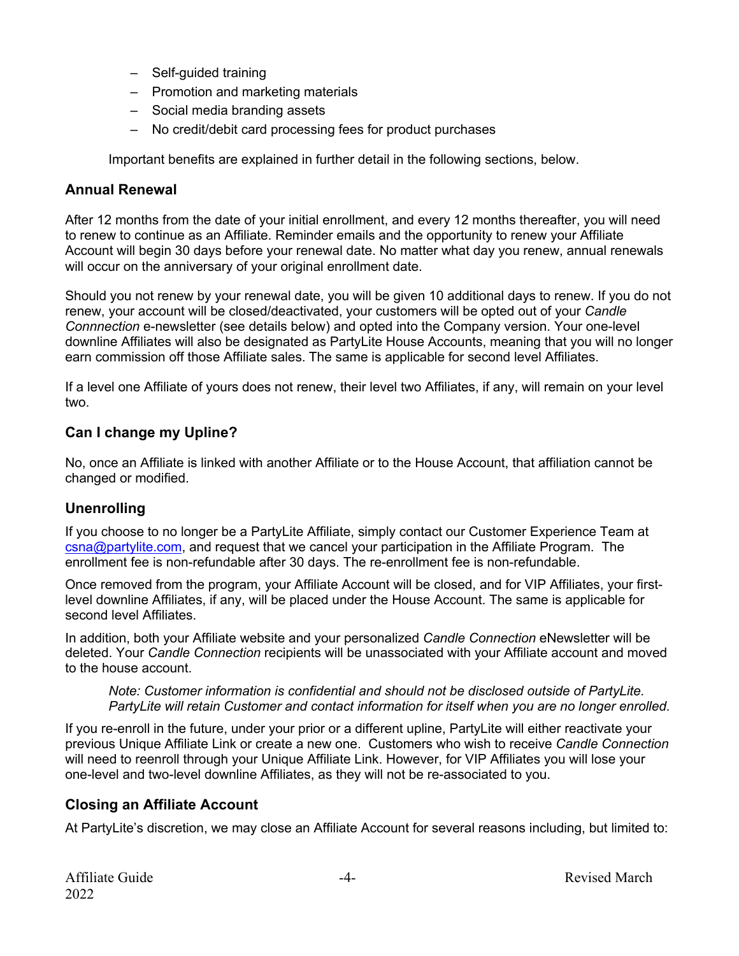- Self-guided training
- Promotion and marketing materials
- Social media branding assets
- No credit/debit card processing fees for product purchases

Important benefits are explained in further detail in the following sections, below.

#### **Annual Renewal**

After 12 months from the date of your initial enrollment, and every 12 months thereafter, you will need to renew to continue as an Affiliate. Reminder emails and the opportunity to renew your Affiliate Account will begin 30 days before your renewal date. No matter what day you renew, annual renewals will occur on the anniversary of your original enrollment date.

Should you not renew by your renewal date, you will be given 10 additional days to renew. If you do not renew, your account will be closed/deactivated, your customers will be opted out of your *Candle Connnection* e-newsletter (see details below) and opted into the Company version. Your one-level downline Affiliates will also be designated as PartyLite House Accounts, meaning that you will no longer earn commission off those Affiliate sales. The same is applicable for second level Affiliates.

If a level one Affiliate of yours does not renew, their level two Affiliates, if any, will remain on your level two.

#### **Can I change my Upline?**

No, once an Affiliate is linked with another Affiliate or to the House Account, that affiliation cannot be changed or modified.

#### **Unenrolling**

If you choose to no longer be a PartyLite Affiliate, simply contact our Customer Experience Team at csna@partylite.com, and request that we cancel your participation in the Affiliate Program. The enrollment fee is non-refundable after 30 days. The re-enrollment fee is non-refundable.

Once removed from the program, your Affiliate Account will be closed, and for VIP Affiliates, your firstlevel downline Affiliates, if any, will be placed under the House Account. The same is applicable for second level Affiliates.

In addition, both your Affiliate website and your personalized *Candle Connection* eNewsletter will be deleted. Your *Candle Connection* recipients will be unassociated with your Affiliate account and moved to the house account.

*Note: Customer information is confidential and should not be disclosed outside of PartyLite. PartyLite will retain Customer and contact information for itself when you are no longer enrolled.*

If you re-enroll in the future, under your prior or a different upline, PartyLite will either reactivate your previous Unique Affiliate Link or create a new one. Customers who wish to receive *Candle Connection* will need to reenroll through your Unique Affiliate Link. However, for VIP Affiliates you will lose your one-level and two-level downline Affiliates, as they will not be re-associated to you.

#### **Closing an Affiliate Account**

At PartyLite's discretion, we may close an Affiliate Account for several reasons including, but limited to: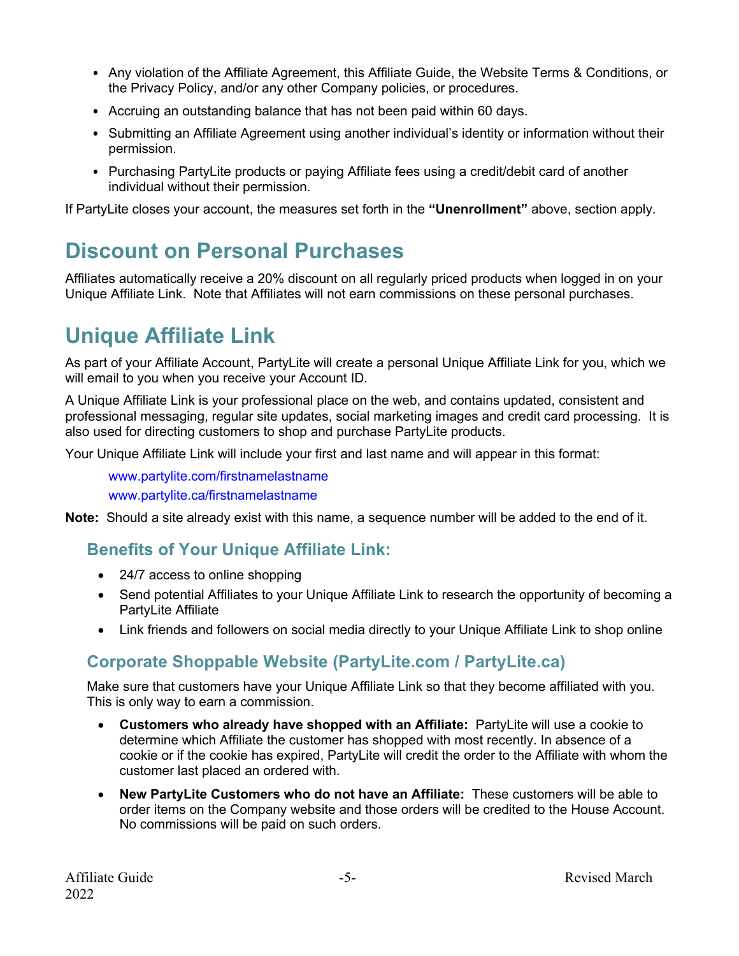- Any violation of the Affiliate Agreement, this Affiliate Guide, the Website Terms & Conditions, or the Privacy Policy, and/or any other Company policies, or procedures.
- Accruing an outstanding balance that has not been paid within 60 days.
- Submitting an Affiliate Agreement using another individual's identity or information without their permission.
- Purchasing PartyLite products or paying Affiliate fees using a credit/debit card of another individual without their permission.

If PartyLite closes your account, the measures set forth in the **"Unenrollment"** above, section apply.

### **Discount on Personal Purchases**

Affiliates automatically receive a 20% discount on all regularly priced products when logged in on your Unique Affiliate Link. Note that Affiliates will not earn commissions on these personal purchases.

### **Unique Affiliate Link**

As part of your Affiliate Account, PartyLite will create a personal Unique Affiliate Link for you, which we will email to you when you receive your Account ID.

A Unique Affiliate Link is your professional place on the web, and contains updated, consistent and professional messaging, regular site updates, social marketing images and credit card processing. It is also used for directing customers to shop and purchase PartyLite products.

Your Unique Affiliate Link will include your first and last name and will appear in this format:

www.partylite.com/firstnamelastname www.partylite.ca/firstnamelastname

**Note:** Should a site already exist with this name, a sequence number will be added to the end of it.

### **Benefits of Your Unique Affiliate Link:**

- 24/7 access to online shopping
- Send potential Affiliates to your Unique Affiliate Link to research the opportunity of becoming a PartyLite Affiliate
- Link friends and followers on social media directly to your Unique Affiliate Link to shop online

### **Corporate Shoppable Website (PartyLite.com / PartyLite.ca)**

Make sure that customers have your Unique Affiliate Link so that they become affiliated with you. This is only way to earn a commission.

- **Customers who already have shopped with an Affiliate:** PartyLite will use a cookie to determine which Affiliate the customer has shopped with most recently. In absence of a cookie or if the cookie has expired, PartyLite will credit the order to the Affiliate with whom the customer last placed an ordered with.
- **New PartyLite Customers who do not have an Affiliate:** These customers will be able to order items on the Company website and those orders will be credited to the House Account. No commissions will be paid on such orders.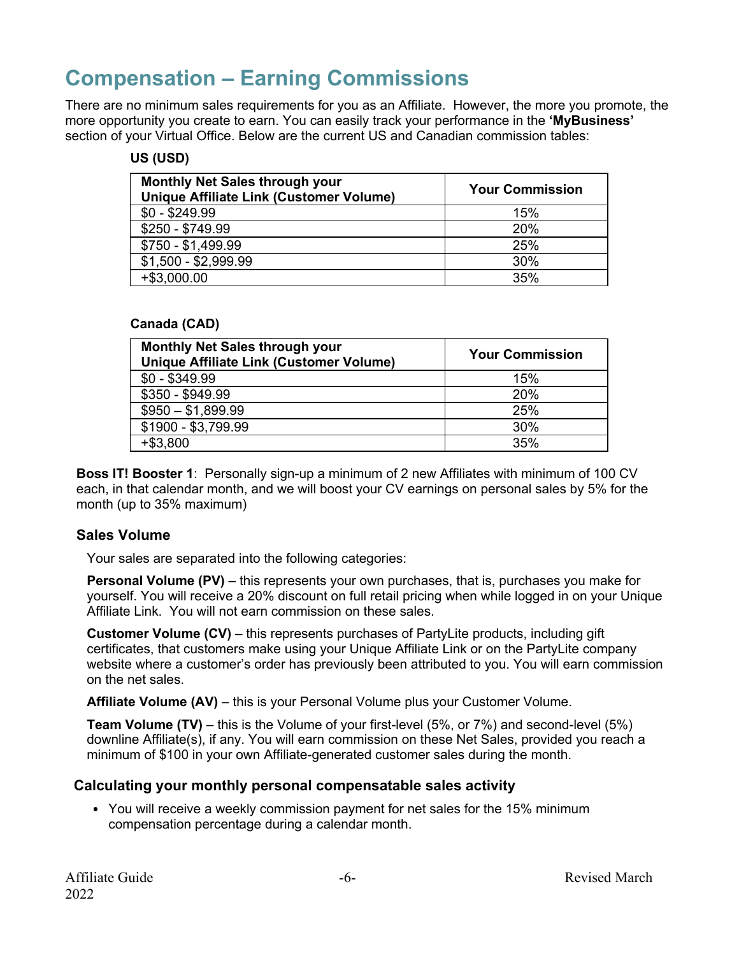### **Compensation – Earning Commissions**

There are no minimum sales requirements for you as an Affiliate. However, the more you promote, the more opportunity you create to earn. You can easily track your performance in the **'MyBusiness'** section of your Virtual Office. Below are the current US and Canadian commission tables:

#### **US (USD)**

| <b>Monthly Net Sales through your</b><br><b>Unique Affiliate Link (Customer Volume)</b> | <b>Your Commission</b> |
|-----------------------------------------------------------------------------------------|------------------------|
| $$0 - $249.99$                                                                          | 15%                    |
| \$250 - \$749.99                                                                        | 20%                    |
| \$750 - \$1,499.99                                                                      | 25%                    |
| $$1,500 - $2,999.99$                                                                    | 30%                    |
| $+$ \$3,000.00                                                                          | 35%                    |

#### **Canada (CAD)**

| <b>Monthly Net Sales through your</b><br><b>Unique Affiliate Link (Customer Volume)</b> | <b>Your Commission</b> |
|-----------------------------------------------------------------------------------------|------------------------|
| $$0 - $349.99$                                                                          | 15%                    |
| \$350 - \$949.99                                                                        | 20%                    |
| $$950 - $1,899.99$                                                                      | 25%                    |
| \$1900 - \$3,799.99                                                                     | 30%                    |
| $+ $3,800$                                                                              | 35%                    |

**Boss IT! Booster 1**: Personally sign-up a minimum of 2 new Affiliates with minimum of 100 CV each, in that calendar month, and we will boost your CV earnings on personal sales by 5% for the month (up to 35% maximum)

#### **Sales Volume**

Your sales are separated into the following categories:

**Personal Volume (PV)** – this represents your own purchases, that is, purchases you make for yourself. You will receive a 20% discount on full retail pricing when while logged in on your Unique Affiliate Link. You will not earn commission on these sales.

**Customer Volume (CV)** – this represents purchases of PartyLite products, including gift certificates, that customers make using your Unique Affiliate Link or on the PartyLite company website where a customer's order has previously been attributed to you. You will earn commission on the net sales.

**Affiliate Volume (AV)** – this is your Personal Volume plus your Customer Volume.

**Team Volume (TV)** – this is the Volume of your first-level (5%, or 7%) and second-level (5%) downline Affiliate(s), if any. You will earn commission on these Net Sales, provided you reach a minimum of \$100 in your own Affiliate-generated customer sales during the month.

#### **Calculating your monthly personal compensatable sales activity**

• You will receive a weekly commission payment for net sales for the 15% minimum compensation percentage during a calendar month.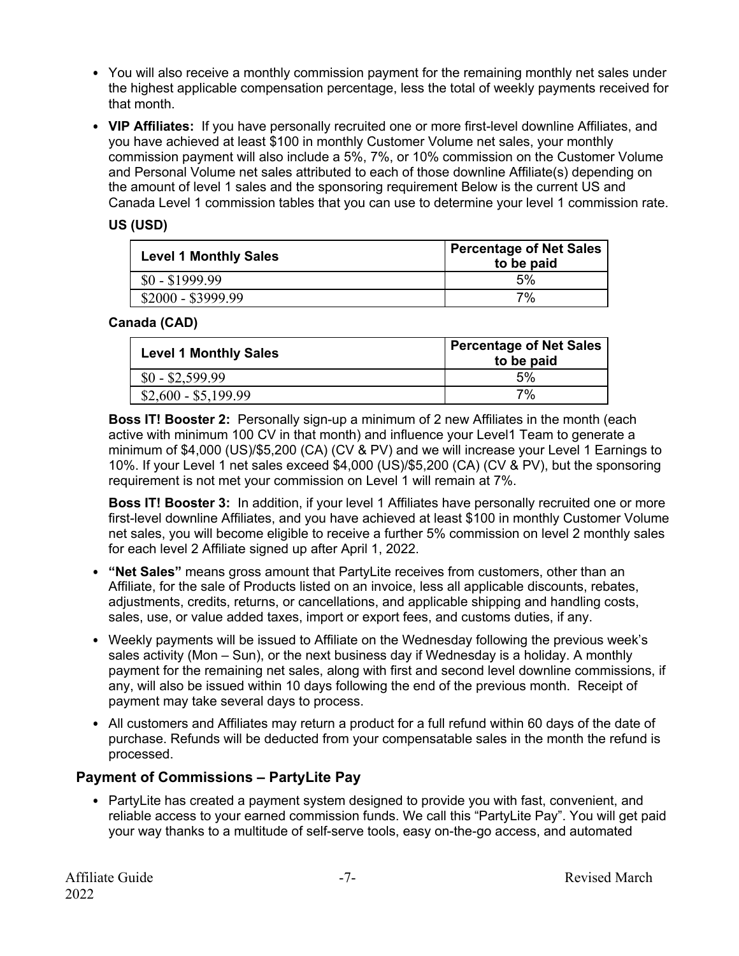- You will also receive a monthly commission payment for the remaining monthly net sales under the highest applicable compensation percentage, less the total of weekly payments received for that month.
- **VIP Affiliates:** If you have personally recruited one or more first-level downline Affiliates, and you have achieved at least \$100 in monthly Customer Volume net sales, your monthly commission payment will also include a 5%, 7%, or 10% commission on the Customer Volume and Personal Volume net sales attributed to each of those downline Affiliate(s) depending on the amount of level 1 sales and the sponsoring requirement Below is the current US and Canada Level 1 commission tables that you can use to determine your level 1 commission rate.

#### **US (USD)**

| <b>Level 1 Monthly Sales</b> | <b>Percentage of Net Sales</b><br>to be paid |
|------------------------------|----------------------------------------------|
| $$0 - $1999.99$              | 5%                                           |
| $$2000 - $3999.99$           | 7%                                           |

#### **Canada (CAD)**

| <b>Level 1 Monthly Sales</b> | Percentage of Net Sales<br>to be paid |
|------------------------------|---------------------------------------|
| $$0 - $2,599.99$             | 5%                                    |
| $$2,600 - $5,199.99$         | 7%                                    |

**Boss IT! Booster 2:** Personally sign-up a minimum of 2 new Affiliates in the month (each active with minimum 100 CV in that month) and influence your Level1 Team to generate a minimum of \$4,000 (US)/\$5,200 (CA) (CV & PV) and we will increase your Level 1 Earnings to 10%. If your Level 1 net sales exceed \$4,000 (US)/\$5,200 (CA) (CV & PV), but the sponsoring requirement is not met your commission on Level 1 will remain at 7%.

**Boss IT! Booster 3:** In addition, if your level 1 Affiliates have personally recruited one or more first-level downline Affiliates, and you have achieved at least \$100 in monthly Customer Volume net sales, you will become eligible to receive a further 5% commission on level 2 monthly sales for each level 2 Affiliate signed up after April 1, 2022.

- **"Net Sales"** means gross amount that PartyLite receives from customers, other than an Affiliate, for the sale of Products listed on an invoice, less all applicable discounts, rebates, adjustments, credits, returns, or cancellations, and applicable shipping and handling costs, sales, use, or value added taxes, import or export fees, and customs duties, if any.
- Weekly payments will be issued to Affiliate on the Wednesday following the previous week's sales activity (Mon – Sun), or the next business day if Wednesday is a holiday. A monthly payment for the remaining net sales, along with first and second level downline commissions, if any, will also be issued within 10 days following the end of the previous month. Receipt of payment may take several days to process.
- All customers and Affiliates may return a product for a full refund within 60 days of the date of purchase. Refunds will be deducted from your compensatable sales in the month the refund is processed.

#### **Payment of Commissions – PartyLite Pay**

• PartyLite has created a payment system designed to provide you with fast, convenient, and reliable access to your earned commission funds. We call this "PartyLite Pay". You will get paid your way thanks to a multitude of self-serve tools, easy on-the-go access, and automated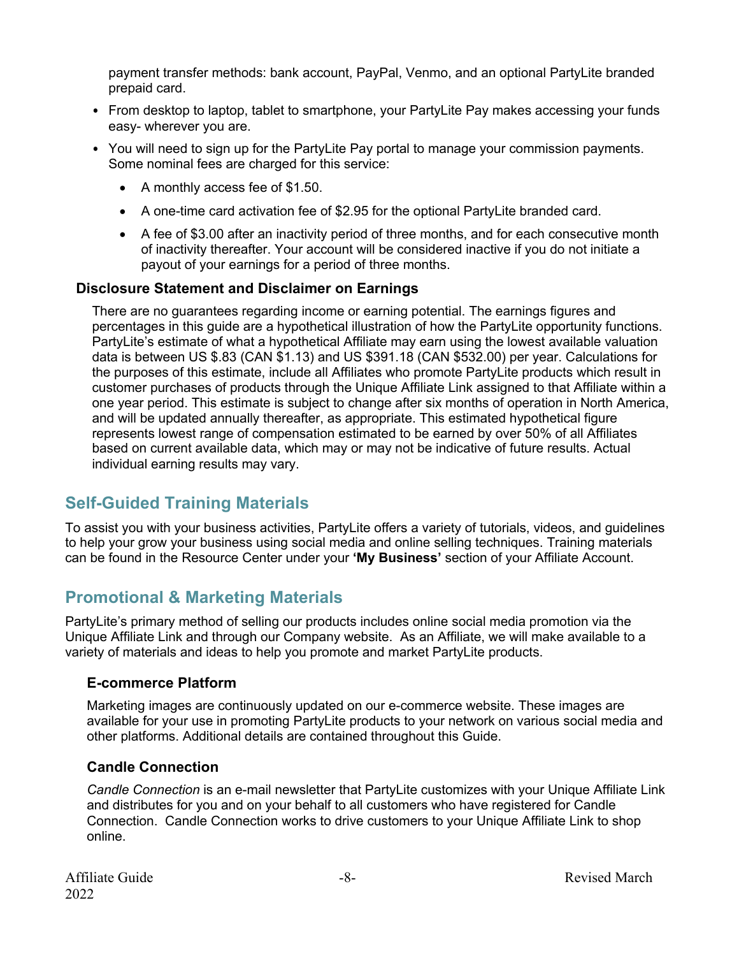payment transfer methods: bank account, PayPal, Venmo, and an optional PartyLite branded prepaid card.

- From desktop to laptop, tablet to smartphone, your PartyLite Pay makes accessing your funds easy- wherever you are.
- You will need to sign up for the PartyLite Pay portal to manage your commission payments. Some nominal fees are charged for this service:
	- A monthly access fee of \$1.50.
	- A one-time card activation fee of \$2.95 for the optional PartyLite branded card.
	- A fee of \$3.00 after an inactivity period of three months, and for each consecutive month of inactivity thereafter. Your account will be considered inactive if you do not initiate a payout of your earnings for a period of three months.

#### **Disclosure Statement and Disclaimer on Earnings**

There are no guarantees regarding income or earning potential. The earnings figures and percentages in this guide are a hypothetical illustration of how the PartyLite opportunity functions. PartyLite's estimate of what a hypothetical Affiliate may earn using the lowest available valuation data is between US \$.83 (CAN \$1.13) and US \$391.18 (CAN \$532.00) per year. Calculations for the purposes of this estimate, include all Affiliates who promote PartyLite products which result in customer purchases of products through the Unique Affiliate Link assigned to that Affiliate within a one year period. This estimate is subject to change after six months of operation in North America, and will be updated annually thereafter, as appropriate. This estimated hypothetical figure represents lowest range of compensation estimated to be earned by over 50% of all Affiliates based on current available data, which may or may not be indicative of future results. Actual individual earning results may vary.

### **Self-Guided Training Materials**

To assist you with your business activities, PartyLite offers a variety of tutorials, videos, and guidelines to help your grow your business using social media and online selling techniques. Training materials can be found in the Resource Center under your **'My Business'** section of your Affiliate Account.

### **Promotional & Marketing Materials**

PartyLite's primary method of selling our products includes online social media promotion via the Unique Affiliate Link and through our Company website. As an Affiliate, we will make available to a variety of materials and ideas to help you promote and market PartyLite products.

#### **E-commerce Platform**

Marketing images are continuously updated on our e-commerce website. These images are available for your use in promoting PartyLite products to your network on various social media and other platforms. Additional details are contained throughout this Guide.

#### **Candle Connection**

*Candle Connection* is an e-mail newsletter that PartyLite customizes with your Unique Affiliate Link and distributes for you and on your behalf to all customers who have registered for Candle Connection. Candle Connection works to drive customers to your Unique Affiliate Link to shop online.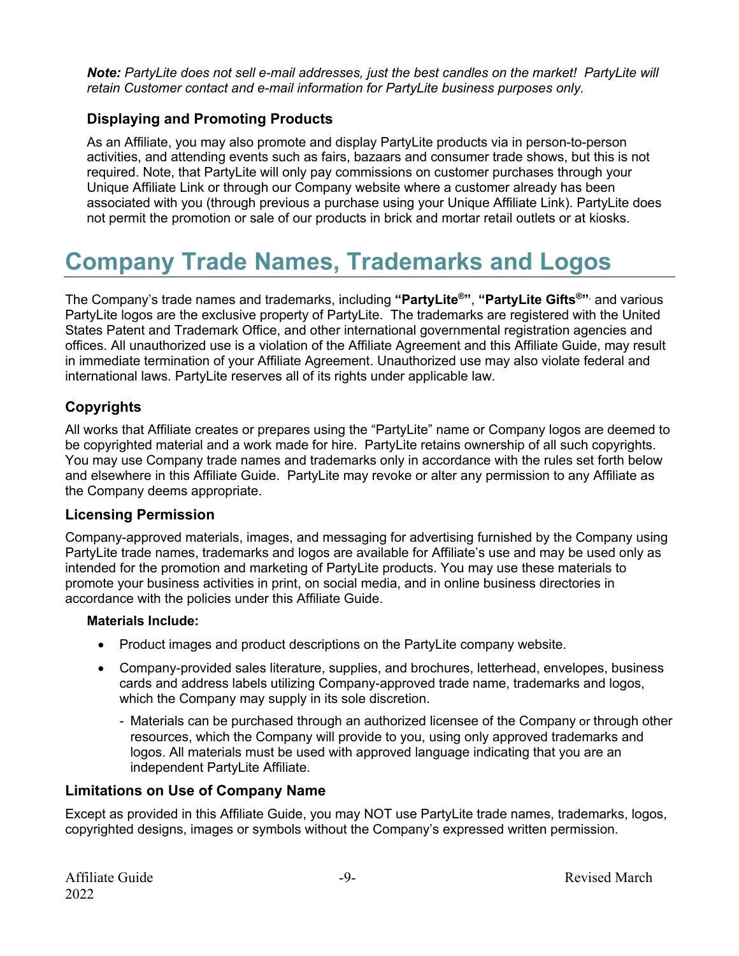*Note: PartyLite does not sell e-mail addresses, just the best candles on the market! PartyLite will retain Customer contact and e-mail information for PartyLite business purposes only.*

#### **Displaying and Promoting Products**

As an Affiliate, you may also promote and display PartyLite products via in person-to-person activities, and attending events such as fairs, bazaars and consumer trade shows, but this is not required. Note, that PartyLite will only pay commissions on customer purchases through your Unique Affiliate Link or through our Company website where a customer already has been associated with you (through previous a purchase using your Unique Affiliate Link). PartyLite does not permit the promotion or sale of our products in brick and mortar retail outlets or at kiosks.

## **Company Trade Names, Trademarks and Logos**

The Company's trade names and trademarks, including **"PartyLite®"**, **"PartyLite Gifts®"**, and various PartyLite logos are the exclusive property of PartyLite. The trademarks are registered with the United States Patent and Trademark Office, and other international governmental registration agencies and offices. All unauthorized use is a violation of the Affiliate Agreement and this Affiliate Guide, may result in immediate termination of your Affiliate Agreement. Unauthorized use may also violate federal and international laws. PartyLite reserves all of its rights under applicable law.

#### **Copyrights**

All works that Affiliate creates or prepares using the "PartyLite" name or Company logos are deemed to be copyrighted material and a work made for hire. PartyLite retains ownership of all such copyrights. You may use Company trade names and trademarks only in accordance with the rules set forth below and elsewhere in this Affiliate Guide. PartyLite may revoke or alter any permission to any Affiliate as the Company deems appropriate.

#### **Licensing Permission**

Company-approved materials, images, and messaging for advertising furnished by the Company using PartyLite trade names, trademarks and logos are available for Affiliate's use and may be used only as intended for the promotion and marketing of PartyLite products. You may use these materials to promote your business activities in print, on social media, and in online business directories in accordance with the policies under this Affiliate Guide.

#### **Materials Include:**

- Product images and product descriptions on the PartyLite company website.
- Company-provided sales literature, supplies, and brochures, letterhead, envelopes, business cards and address labels utilizing Company-approved trade name, trademarks and logos, which the Company may supply in its sole discretion.
	- Materials can be purchased through an authorized licensee of the Company or through other resources, which the Company will provide to you, using only approved trademarks and logos. All materials must be used with approved language indicating that you are an independent PartyLite Affiliate.

#### **Limitations on Use of Company Name**

Except as provided in this Affiliate Guide, you may NOT use PartyLite trade names, trademarks, logos, copyrighted designs, images or symbols without the Company's expressed written permission.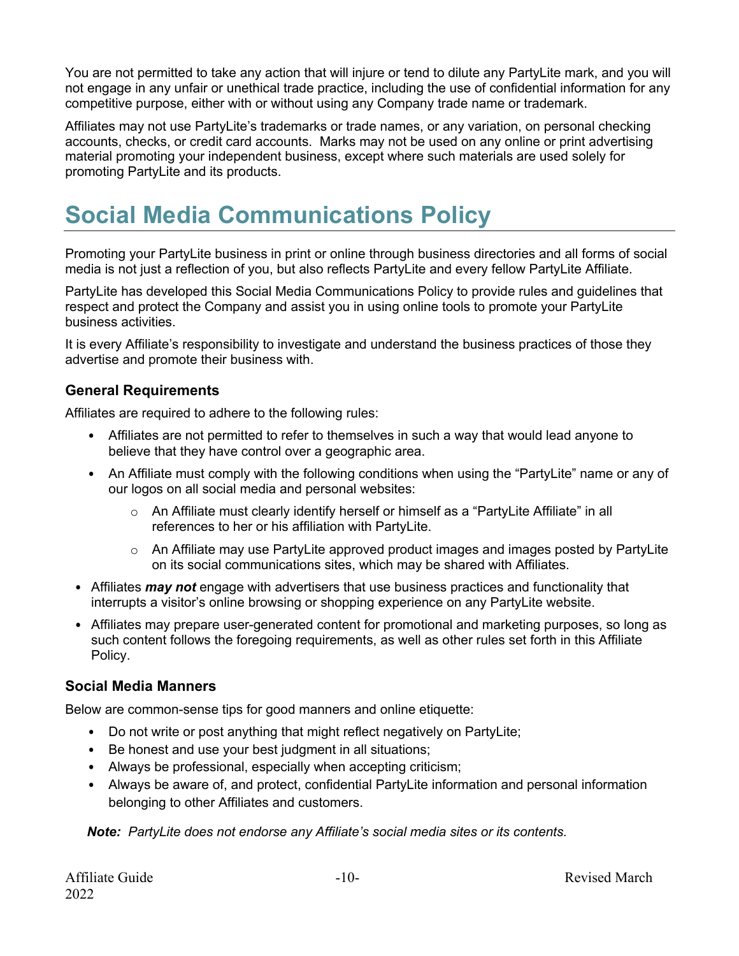You are not permitted to take any action that will injure or tend to dilute any PartyLite mark, and you will not engage in any unfair or unethical trade practice, including the use of confidential information for any competitive purpose, either with or without using any Company trade name or trademark.

Affiliates may not use PartyLite's trademarks or trade names, or any variation, on personal checking accounts, checks, or credit card accounts. Marks may not be used on any online or print advertising material promoting your independent business, except where such materials are used solely for promoting PartyLite and its products.

## **Social Media Communications Policy**

Promoting your PartyLite business in print or online through business directories and all forms of social media is not just a reflection of you, but also reflects PartyLite and every fellow PartyLite Affiliate.

PartyLite has developed this Social Media Communications Policy to provide rules and guidelines that respect and protect the Company and assist you in using online tools to promote your PartyLite business activities.

It is every Affiliate's responsibility to investigate and understand the business practices of those they advertise and promote their business with.

#### **General Requirements**

Affiliates are required to adhere to the following rules:

- Affiliates are not permitted to refer to themselves in such a way that would lead anyone to believe that they have control over a geographic area.
- An Affiliate must comply with the following conditions when using the "PartyLite" name or any of our logos on all social media and personal websites:
	- o An Affiliate must clearly identify herself or himself as a "PartyLite Affiliate" in all references to her or his affiliation with PartyLite.
	- $\circ$  An Affiliate may use PartyLite approved product images and images posted by PartyLite on its social communications sites, which may be shared with Affiliates.
- Affiliates *may not* engage with advertisers that use business practices and functionality that interrupts a visitor's online browsing or shopping experience on any PartyLite website.
- Affiliates may prepare user-generated content for promotional and marketing purposes, so long as such content follows the foregoing requirements, as well as other rules set forth in this Affiliate Policy.

#### **Social Media Manners**

Below are common-sense tips for good manners and online etiquette:

- Do not write or post anything that might reflect negatively on PartyLite;
- Be honest and use your best judgment in all situations;
- Always be professional, especially when accepting criticism;
- Always be aware of, and protect, confidential PartyLite information and personal information belonging to other Affiliates and customers.

*Note: PartyLite does not endorse any Affiliate's social media sites or its contents.*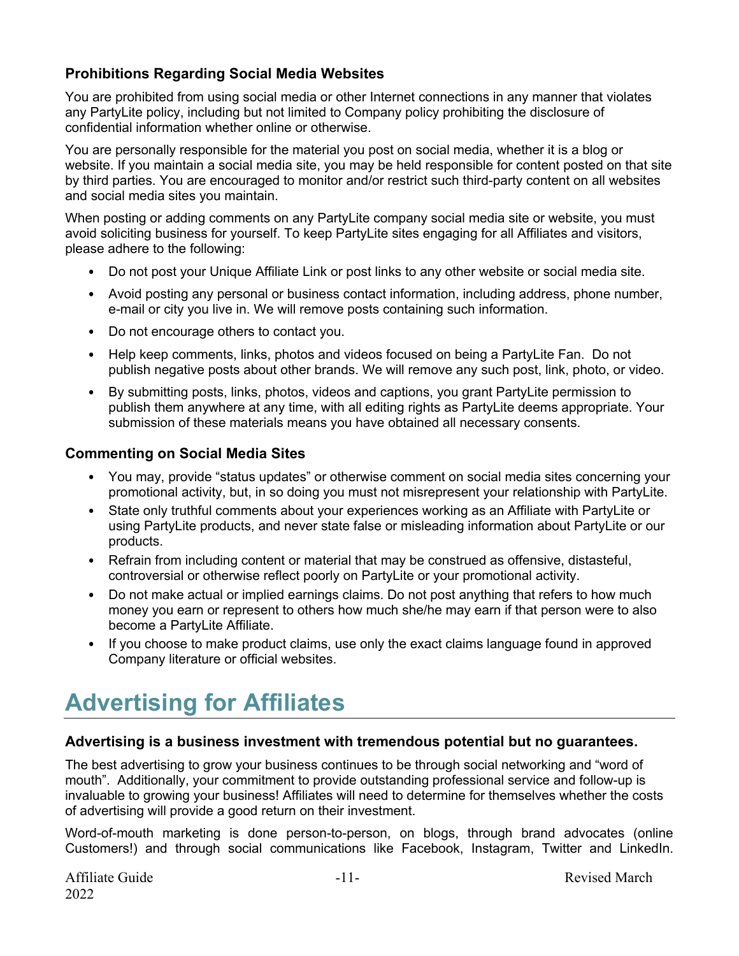#### **Prohibitions Regarding Social Media Websites**

You are prohibited from using social media or other Internet connections in any manner that violates any PartyLite policy, including but not limited to Company policy prohibiting the disclosure of confidential information whether online or otherwise.

You are personally responsible for the material you post on social media, whether it is a blog or website. If you maintain a social media site, you may be held responsible for content posted on that site by third parties. You are encouraged to monitor and/or restrict such third-party content on all websites and social media sites you maintain.

When posting or adding comments on any PartyLite company social media site or website, you must avoid soliciting business for yourself. To keep PartyLite sites engaging for all Affiliates and visitors, please adhere to the following:

- Do not post your Unique Affiliate Link or post links to any other website or social media site.
- Avoid posting any personal or business contact information, including address, phone number, e-mail or city you live in. We will remove posts containing such information.
- Do not encourage others to contact you.
- Help keep comments, links, photos and videos focused on being a PartyLite Fan. Do not publish negative posts about other brands. We will remove any such post, link, photo, or video.
- By submitting posts, links, photos, videos and captions, you grant PartyLite permission to publish them anywhere at any time, with all editing rights as PartyLite deems appropriate. Your submission of these materials means you have obtained all necessary consents.

#### **Commenting on Social Media Sites**

- You may, provide "status updates" or otherwise comment on social media sites concerning your promotional activity, but, in so doing you must not misrepresent your relationship with PartyLite.
- State only truthful comments about your experiences working as an Affiliate with PartyLite or using PartyLite products, and never state false or misleading information about PartyLite or our products.
- Refrain from including content or material that may be construed as offensive, distasteful, controversial or otherwise reflect poorly on PartyLite or your promotional activity.
- Do not make actual or implied earnings claims. Do not post anything that refers to how much money you earn or represent to others how much she/he may earn if that person were to also become a PartyLite Affiliate.
- If you choose to make product claims, use only the exact claims language found in approved Company literature or official websites.

## **Advertising for Affiliates**

#### **Advertising is a business investment with tremendous potential but no guarantees.**

The best advertising to grow your business continues to be through social networking and "word of mouth". Additionally, your commitment to provide outstanding professional service and follow-up is invaluable to growing your business! Affiliates will need to determine for themselves whether the costs of advertising will provide a good return on their investment.

Word-of-mouth marketing is done person-to-person, on blogs, through brand advocates (online Customers!) and through social communications like Facebook, Instagram, Twitter and LinkedIn.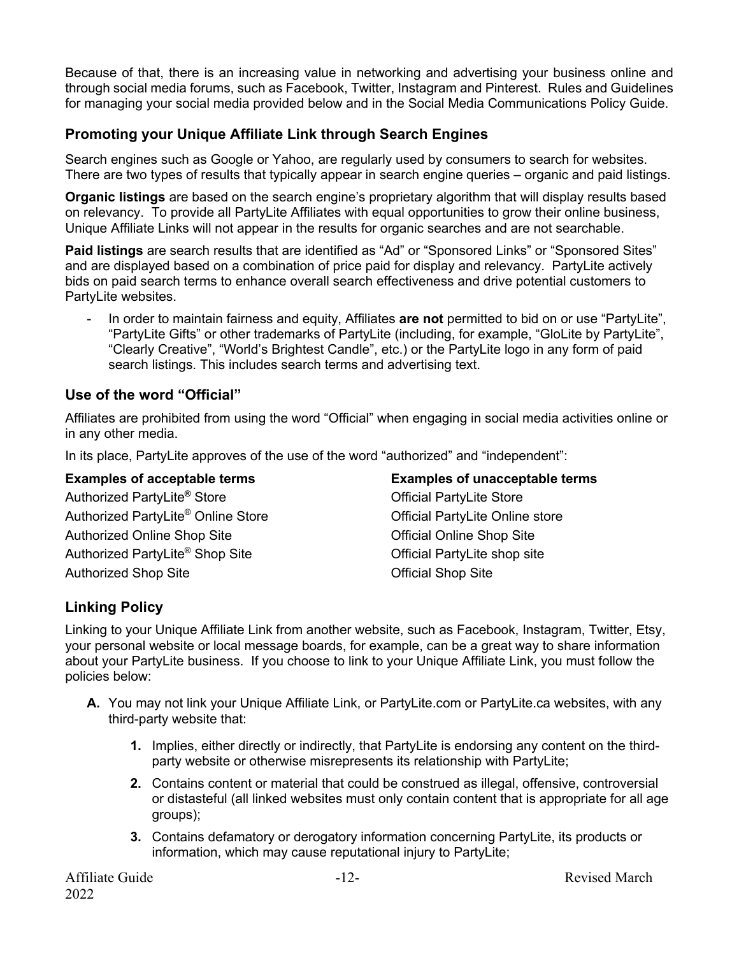Because of that, there is an increasing value in networking and advertising your business online and through social media forums, such as Facebook, Twitter, Instagram and Pinterest. Rules and Guidelines for managing your social media provided below and in the Social Media Communications Policy Guide.

#### **Promoting your Unique Affiliate Link through Search Engines**

Search engines such as Google or Yahoo, are regularly used by consumers to search for websites. There are two types of results that typically appear in search engine queries – organic and paid listings.

**Organic listings** are based on the search engine's proprietary algorithm that will display results based on relevancy. To provide all PartyLite Affiliates with equal opportunities to grow their online business, Unique Affiliate Links will not appear in the results for organic searches and are not searchable.

**Paid listings** are search results that are identified as "Ad" or "Sponsored Links" or "Sponsored Sites" and are displayed based on a combination of price paid for display and relevancy. PartyLite actively bids on paid search terms to enhance overall search effectiveness and drive potential customers to PartyLite websites.

- In order to maintain fairness and equity, Affiliates **are not** permitted to bid on or use "PartyLite", "PartyLite Gifts" or other trademarks of PartyLite (including, for example, "GloLite by PartyLite", "Clearly Creative", "World's Brightest Candle", etc.) or the PartyLite logo in any form of paid search listings. This includes search terms and advertising text.

#### **Use of the word "Official"**

Affiliates are prohibited from using the word "Official" when engaging in social media activities online or in any other media.

In its place, PartyLite approves of the use of the word "authorized" and "independent":

#### **Examples of acceptable terms** Authorized PartyLite**®** Store Authorized PartyLite® Online Store Authorized Online Shop Site Authorized PartyLite® Shop Site Authorized Shop Site **Examples of unacceptable terms** Official PartyLite Store Official PartyLite Online store Official Online Shop Site Official PartyLite shop site Official Shop Site

#### **Linking Policy**

Linking to your Unique Affiliate Link from another website, such as Facebook, Instagram, Twitter, Etsy, your personal website or local message boards, for example, can be a great way to share information about your PartyLite business. If you choose to link to your Unique Affiliate Link, you must follow the policies below:

- **A.** You may not link your Unique Affiliate Link, or PartyLite.com or PartyLite.ca websites, with any third-party website that:
	- **1.** Implies, either directly or indirectly, that PartyLite is endorsing any content on the thirdparty website or otherwise misrepresents its relationship with PartyLite;
	- **2.** Contains content or material that could be construed as illegal, offensive, controversial or distasteful (all linked websites must only contain content that is appropriate for all age groups);
	- **3.** Contains defamatory or derogatory information concerning PartyLite, its products or information, which may cause reputational injury to PartyLite;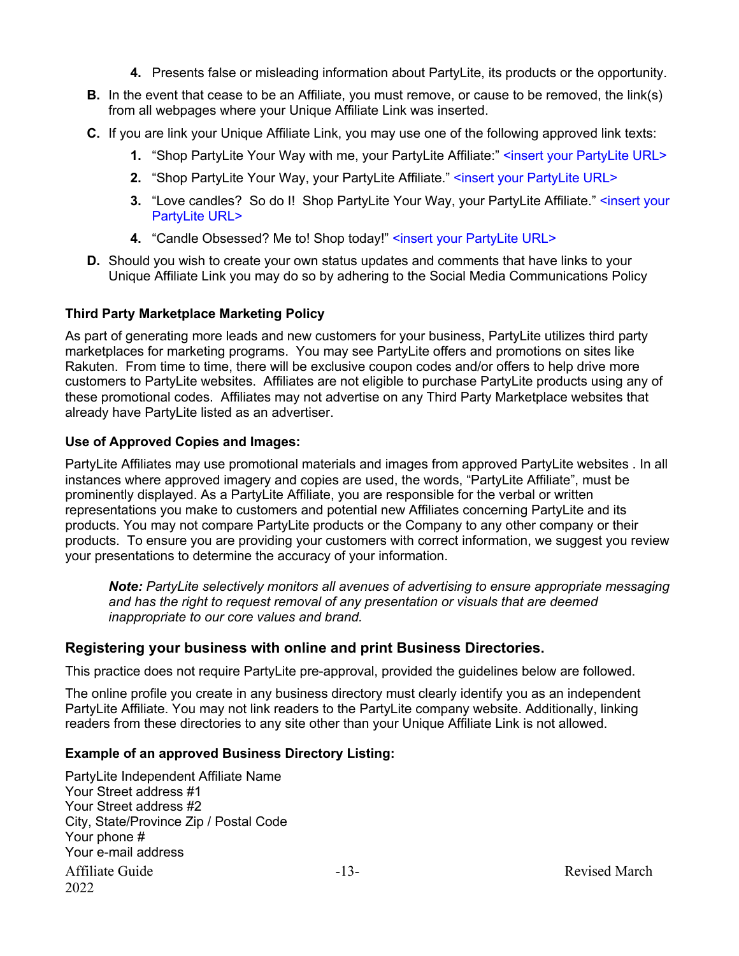- **4.** Presents false or misleading information about PartyLite, its products or the opportunity.
- **B.** In the event that cease to be an Affiliate, you must remove, or cause to be removed, the link(s) from all webpages where your Unique Affiliate Link was inserted.
- **C.** If you are link your Unique Affiliate Link, you may use one of the following approved link texts:
	- **1.** "Shop PartyLite Your Way with me, your PartyLite Affiliate:" <insert your PartyLite URL>
	- **2.** "Shop PartyLite Your Way, your PartyLite Affiliate." <insert your PartyLite URL>
	- **3.** "Love candles? So do I! Shop PartyLite Your Way, your PartyLite Affiliate." <insert your PartyLite URL>
	- **4.** "Candle Obsessed? Me to! Shop today!" <insert your PartyLite URL>
- **D.** Should you wish to create your own status updates and comments that have links to your Unique Affiliate Link you may do so by adhering to the Social Media Communications Policy

#### **Third Party Marketplace Marketing Policy**

As part of generating more leads and new customers for your business, PartyLite utilizes third party marketplaces for marketing programs. You may see PartyLite offers and promotions on sites like Rakuten. From time to time, there will be exclusive coupon codes and/or offers to help drive more customers to PartyLite websites. Affiliates are not eligible to purchase PartyLite products using any of these promotional codes. Affiliates may not advertise on any Third Party Marketplace websites that already have PartyLite listed as an advertiser.

#### **Use of Approved Copies and Images:**

PartyLite Affiliates may use promotional materials and images from approved PartyLite websites . In all instances where approved imagery and copies are used, the words, "PartyLite Affiliate", must be prominently displayed. As a PartyLite Affiliate, you are responsible for the verbal or written representations you make to customers and potential new Affiliates concerning PartyLite and its products. You may not compare PartyLite products or the Company to any other company or their products. To ensure you are providing your customers with correct information, we suggest you review your presentations to determine the accuracy of your information.

*Note: PartyLite selectively monitors all avenues of advertising to ensure appropriate messaging and has the right to request removal of any presentation or visuals that are deemed inappropriate to our core values and brand.*

#### **Registering your business with online and print Business Directories.**

This practice does not require PartyLite pre-approval, provided the guidelines below are followed.

The online profile you create in any business directory must clearly identify you as an independent PartyLite Affiliate. You may not link readers to the PartyLite company website. Additionally, linking readers from these directories to any site other than your Unique Affiliate Link is not allowed.

#### **Example of an approved Business Directory Listing:**

Affiliate Guide  $-13-$ 2022 PartyLite Independent Affiliate Name Your Street address #1 Your Street address #2 City, State/Province Zip / Postal Code Your phone # Your e-mail address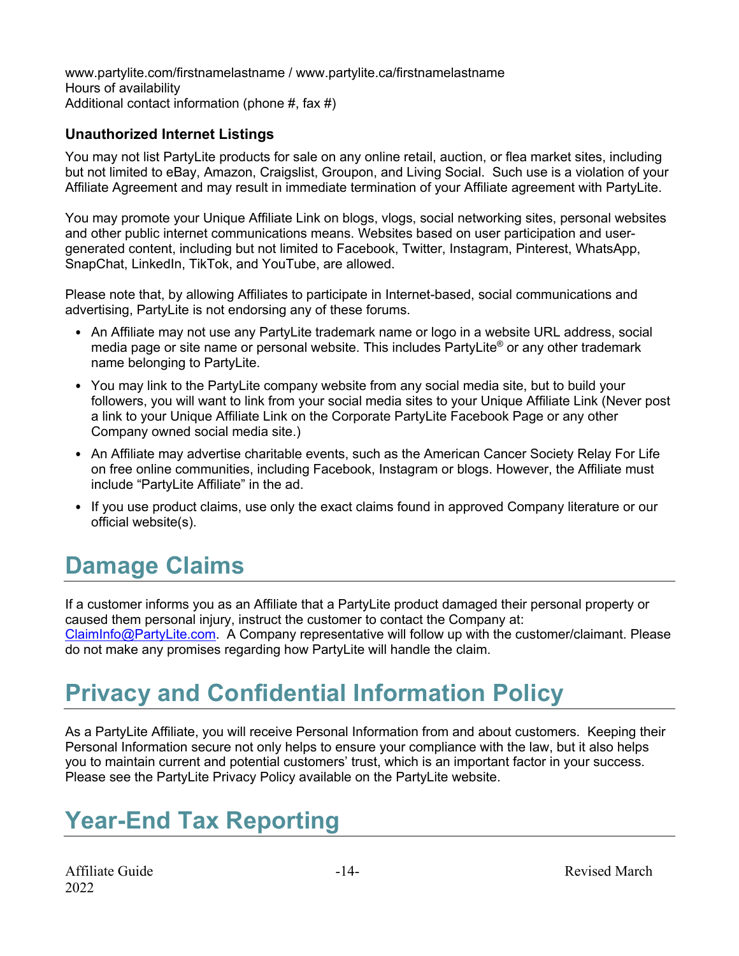www.partylite.com/firstnamelastname / www.partylite.ca/firstnamelastname Hours of availability Additional contact information (phone #, fax #)

#### **Unauthorized Internet Listings**

You may not list PartyLite products for sale on any online retail, auction, or flea market sites, including but not limited to eBay, Amazon, Craigslist, Groupon, and Living Social. Such use is a violation of your Affiliate Agreement and may result in immediate termination of your Affiliate agreement with PartyLite.

You may promote your Unique Affiliate Link on blogs, vlogs, social networking sites, personal websites and other public internet communications means. Websites based on user participation and usergenerated content, including but not limited to Facebook, Twitter, Instagram, Pinterest, WhatsApp, SnapChat, LinkedIn, TikTok, and YouTube, are allowed.

Please note that, by allowing Affiliates to participate in Internet-based, social communications and advertising, PartyLite is not endorsing any of these forums.

- An Affiliate may not use any PartyLite trademark name or logo in a website URL address, social media page or site name or personal website. This includes PartyLite® or any other trademark name belonging to PartyLite.
- You may link to the PartyLite company website from any social media site, but to build your followers, you will want to link from your social media sites to your Unique Affiliate Link (Never post a link to your Unique Affiliate Link on the Corporate PartyLite Facebook Page or any other Company owned social media site.)
- An Affiliate may advertise charitable events, such as the American Cancer Society Relay For Life on free online communities, including Facebook, Instagram or blogs. However, the Affiliate must include "PartyLite Affiliate" in the ad.
- If you use product claims, use only the exact claims found in approved Company literature or our official website(s).

## **Damage Claims**

If a customer informs you as an Affiliate that a PartyLite product damaged their personal property or caused them personal injury, instruct the customer to contact the Company at: ClaimInfo@PartyLite.com. A Company representative will follow up with the customer/claimant. Please do not make any promises regarding how PartyLite will handle the claim.

## **Privacy and Confidential Information Policy**

As a PartyLite Affiliate, you will receive Personal Information from and about customers. Keeping their Personal Information secure not only helps to ensure your compliance with the law, but it also helps you to maintain current and potential customers' trust, which is an important factor in your success. Please see the PartyLite Privacy Policy available on the PartyLite website.

### **Year-End Tax Reporting**